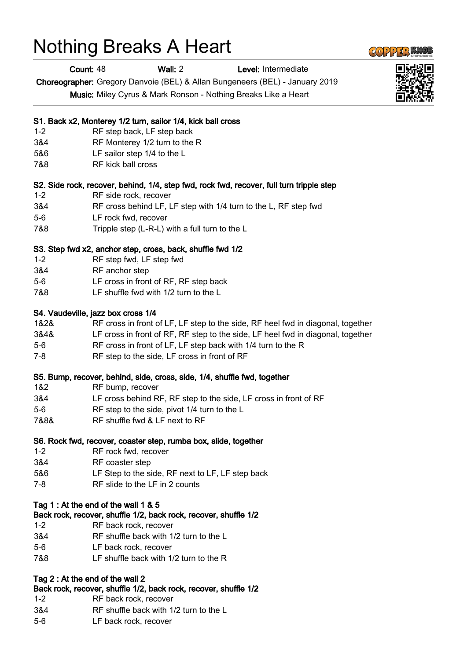# Nothing Breaks A Heart

Count: 48 Wall: 2 Level: Intermediate

Choreographer: Gregory Danvoie (BEL) & Allan Bungeneers (BEL) - January 2019

Music: Miley Cyrus & Mark Ronson - Nothing Breaks Like a Heart

#### S1. Back x2, Monterey 1/2 turn, sailor 1/4, kick ball cross

- 1-2 RF step back, LF step back
- 3&4 RF Monterey 1/2 turn to the R
- 5&6 LF sailor step 1/4 to the L
- 7&8 RF kick ball cross

## S2. Side rock, recover, behind, 1/4, step fwd, rock fwd, recover, full turn tripple step

- 1-2 RF side rock, recover
- 3&4 RF cross behind LF, LF step with 1/4 turn to the L, RF step fwd
- 5-6 LF rock fwd, recover
- 7&8 Tripple step (L-R-L) with a full turn to the L

## S3. Step fwd x2, anchor step, cross, back, shuffle fwd 1/2

- 1-2 RF step fwd, LF step fwd
- 3&4 RF anchor step
- 5-6 LF cross in front of RF, RF step back
- 7&8 LF shuffle fwd with 1/2 turn to the L

## S4. Vaudeville, jazz box cross 1/4

- 1&2& RF cross in front of LF, LF step to the side, RF heel fwd in diagonal, together
- 3&4& LF cross in front of RF, RF step to the side, LF heel fwd in diagonal, together
- 5-6 RF cross in front of LF, LF step back with 1/4 turn to the R
- 7-8 RF step to the side, LF cross in front of RF

#### S5. Bump, recover, behind, side, cross, side, 1/4, shuffle fwd, together

- 1&2 RF bump, recover
- 3&4 LF cross behind RF, RF step to the side, LF cross in front of RF
- 5-6 RF step to the side, pivot 1/4 turn to the L
- 7&8& RF shuffle fwd & LF next to RF

## S6. Rock fwd, recover, coaster step, rumba box, slide, together

- 1-2 RF rock fwd, recover
- 3&4 RF coaster step
- 5&6 LF Step to the side, RF next to LF, LF step back
- 7-8 RF slide to the LF in 2 counts

#### Tag 1 : At the end of the wall 1 & 5

# Back rock, recover, shuffle 1/2, back rock, recover, shuffle 1/2

- 1-2 RF back rock, recover
- 3&4 RF shuffle back with 1/2 turn to the L
- 5-6 LF back rock, recover
- 7&8 LF shuffle back with 1/2 turn to the R

# Tag 2 : At the end of the wall 2

# Back rock, recover, shuffle 1/2, back rock, recover, shuffle 1/2

- 1-2 RF back rock, recover
- 3&4 RF shuffle back with 1/2 turn to the L
- 5-6 LF back rock, recover